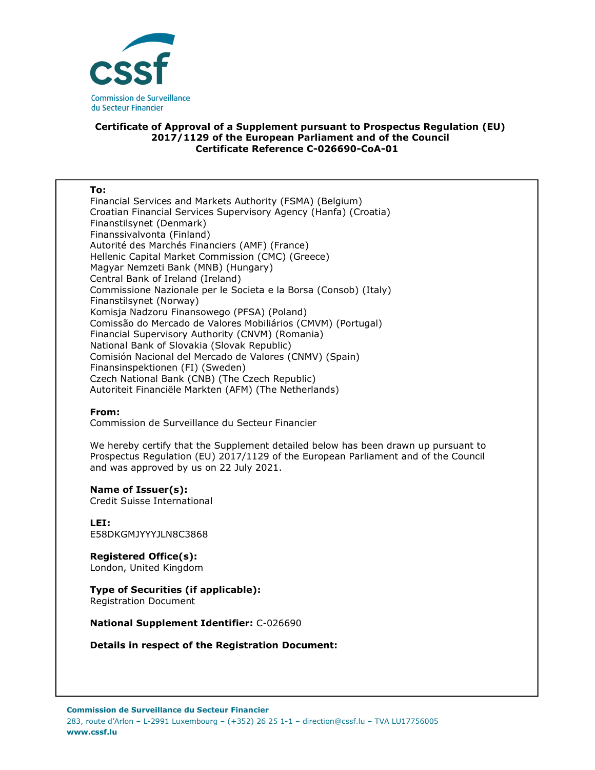

## **Certificate of Approval of a Supplement pursuant to Prospectus Regulation (EU) 2017/1129 of the European Parliament and of the Council Certificate Reference C-026690-CoA-01**

#### **To:**

Financial Services and Markets Authority (FSMA) (Belgium) Croatian Financial Services Supervisory Agency (Hanfa) (Croatia) Finanstilsynet (Denmark) Finanssivalvonta (Finland) Autorité des Marchés Financiers (AMF) (France) Hellenic Capital Market Commission (CMC) (Greece) Magyar Nemzeti Bank (MNB) (Hungary) Central Bank of Ireland (Ireland) Commissione Nazionale per le Societa e la Borsa (Consob) (Italy) Finanstilsynet (Norway) Komisja Nadzoru Finansowego (PFSA) (Poland) Comissão do Mercado de Valores Mobiliários (CMVM) (Portugal) Financial Supervisory Authority (CNVM) (Romania) National Bank of Slovakia (Slovak Republic) Comisión Nacional del Mercado de Valores (CNMV) (Spain) Finansinspektionen (FI) (Sweden) Czech National Bank (CNB) (The Czech Republic) Autoriteit Financiële Markten (AFM) (The Netherlands)

### **From:**

Commission de Surveillance du Secteur Financier

We hereby certify that the Supplement detailed below has been drawn up pursuant to Prospectus Regulation (EU) 2017/1129 of the European Parliament and of the Council and was approved by us on 22 July 2021.

#### **Name of Issuer(s):**

Credit Suisse International

**LEI:** E58DKGMJYYYJLN8C3868

**Registered Office(s):**  London, United Kingdom

# **Type of Securities (if applicable):**

Registration Document

**National Supplement Identifier:** C-026690

**Details in respect of the Registration Document:**